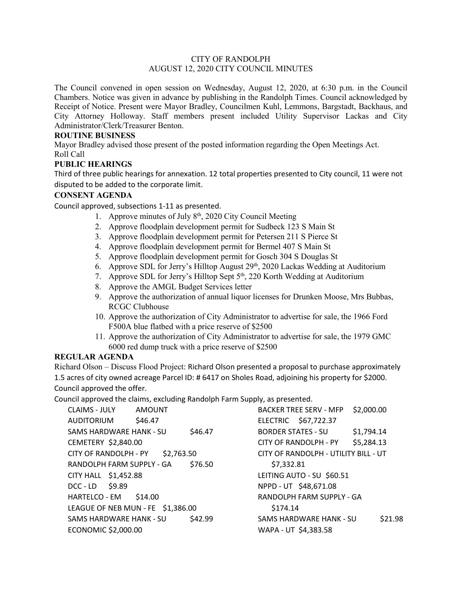# CITY OF RANDOLPH AUGUST 12, 2020 CITY COUNCIL MINUTES

The Council convened in open session on Wednesday, August 12, 2020, at 6:30 p.m. in the Council Chambers. Notice was given in advance by publishing in the Randolph Times. Council acknowledged by Receipt of Notice. Present were Mayor Bradley, Councilmen Kuhl, Lemmons, Bargstadt, Backhaus, and City Attorney Holloway. Staff members present included Utility Supervisor Lackas and City Administrator/Clerk/Treasurer Benton.

# **ROUTINE BUSINESS**

Mayor Bradley advised those present of the posted information regarding the Open Meetings Act. Roll Call

# **PUBLIC HEARINGS**

Third of three public hearings for annexation. 12 total properties presented to City council, 11 were not disputed to be added to the corporate limit.

# **CONSENT AGENDA**

Council approved, subsections 1-11 as presented.

- 1. Approve minutes of July  $8<sup>th</sup>$ , 2020 City Council Meeting
- 2. Approve floodplain development permit for Sudbeck 123 S Main St
- 3. Approve floodplain development permit for Petersen 211 S Pierce St
- 4. Approve floodplain development permit for Bermel 407 S Main St
- 5. Approve floodplain development permit for Gosch 304 S Douglas St
- 6. Approve SDL for Jerry's Hilltop August  $29<sup>th</sup>$ , 2020 Lackas Wedding at Auditorium
- 7. Approve SDL for Jerry's Hilltop Sept 5<sup>th</sup>, 220 Korth Wedding at Auditorium
- 8. Approve the AMGL Budget Services letter
- 9. Approve the authorization of annual liquor licenses for Drunken Moose, Mrs Bubbas, RCGC Clubhouse
- 10. Approve the authorization of City Administrator to advertise for sale, the 1966 Ford F500A blue flatbed with a price reserve of \$2500
- 11. Approve the authorization of City Administrator to advertise for sale, the 1979 GMC 6000 red dump truck with a price reserve of \$2500

# **REGULAR AGENDA**

Richard Olson – Discuss Flood Project: Richard Olson presented a proposal to purchase approximately 1.5 acres of city owned acreage Parcel ID: # 6417 on Sholes Road, adjoining his property for \$2000. Council approved the offer.

Council approved the claims, excluding Randolph Farm Supply, as presented.

| <b>CLAIMS - JULY</b><br><b>AMOUNT</b> |         |                                      | <b>BACKER TREE SERV - MFP</b> | \$2,000.00 |
|---------------------------------------|---------|--------------------------------------|-------------------------------|------------|
| \$46.47<br>AUDITORIUM                 |         |                                      | ELECTRIC \$67,722.37          |            |
| SAMS HARDWARE HANK - SU               | \$46.47 | <b>BORDER STATES - SU</b>            |                               | \$1,794.14 |
| CEMETERY \$2,840.00                   |         |                                      | CITY OF RANDOLPH - PY         | \$5,284.13 |
| \$2,763.50<br>CITY OF RANDOLPH - PY   |         | CITY OF RANDOLPH - UTILITY BILL - UT |                               |            |
| RANDOLPH FARM SUPPLY - GA             | \$76.50 | \$7,332.81                           |                               |            |
| CITY HALL \$1,452.88                  |         |                                      | LEITING AUTO - SU \$60.51     |            |
| DCC-LD \$9.89                         |         |                                      | NPPD - UT \$48,671.08         |            |
| HARTELCO-EM \$14.00                   |         |                                      | RANDOLPH FARM SUPPLY - GA     |            |
| LEAGUE OF NEB MUN - FE \$1,386.00     |         | \$174.14                             |                               |            |
| SAMS HARDWARE HANK - SU               | \$42.99 |                                      | SAMS HARDWARE HANK - SU       | \$21.98    |
| ECONOMIC \$2,000.00                   |         | WAPA - UT \$4,383.58                 |                               |            |
|                                       |         |                                      |                               |            |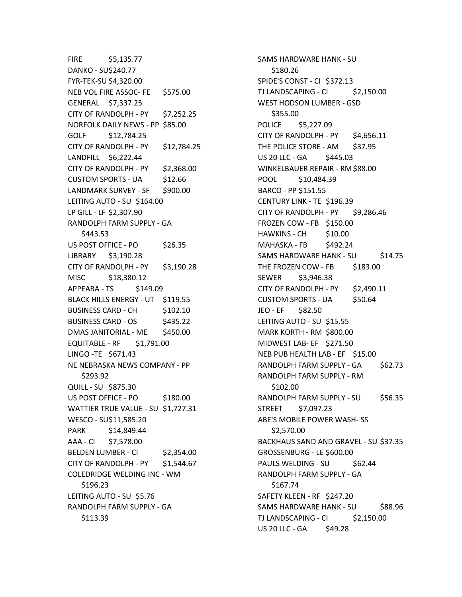FIRE \$5,135.77 DANKO - SU\$240.77 FYR-TEK-SU \$4,320.00 NEB VOL FIRE ASSOC- FE \$575.00 GENERAL \$7,337.25 CITY OF RANDOLPH - PY \$7,252.25 NORFOLK DAILY NEWS - PP \$85.00 GOLF \$12,784.25 CITY OF RANDOLPH - PY \$12,784.25 LANDFILL \$6,222.44 CITY OF RANDOLPH - PY \$2,368.00 CUSTOM SPORTS - UA \$12.66 LANDMARK SURVEY - SF \$900.00 LEITING AUTO - SU \$164.00 LP GILL - LF \$2,307.90 RANDOLPH FARM SUPPLY - GA \$443.53 US POST OFFICE - PO \$26.35 LIBRARY \$3,190.28 CITY OF RANDOLPH - PY \$3,190.28 MISC \$18,380.12 APPEARA - TS \$149.09 BLACK HILLS ENERGY - UT \$119.55 BUSINESS CARD - CH \$102.10 BUSINESS CARD - OS \$435.22 DMAS JANITORIAL - ME \$450.00 EQUITABLE - RF \$1,791.00 LINGO -TE \$671.43 NE NEBRASKA NEWS COMPANY - PP \$293.92 QUILL - SU \$875.30 US POST OFFICE - PO \$180.00 WATTIER TRUE VALUE - SU \$1,727.31 WESCO - SU\$11,585.20 PARK \$14,849.44 AAA - CI \$7,578.00 BELDEN LUMBER - CI \$2,354.00 CITY OF RANDOLPH - PY \$1,544.67 COLEDRIDGE WELDING INC - WM \$196.23 LEITING AUTO - SU \$5.76 RANDOLPH FARM SUPPLY - GA \$113.39

SAMS HARDWARE HANK - SU \$180.26 SPIDE'S CONST - CI \$372.13 TJ LANDSCAPING - CI \$2,150.00 WEST HODSON LUMBER - GSD \$355.00 POLICE \$5,227.09 CITY OF RANDOLPH - PY  $$4,656.11$ THE POLICE STORE - AM \$37.95 US 20 LLC - GA \$445.03 WINKELBAUER REPAIR - RM\$88.00 POOL \$10,484.39 BARCO - PP \$151.55 CENTURY LINK - TE \$196.39 CITY OF RANDOLPH - PY \$9,286.46 FROZEN COW - FB \$150.00 HAWKINS - CH \$10.00 MAHASKA - FB \$492.24 SAMS HARDWARE HANK - SU \$14.75 THE FROZEN COW - FB \$183.00 SEWER \$3,946.38 CITY OF RANDOLPH - PY \$2,490.11 CUSTOM SPORTS - UA \$50.64 JEO - EF \$82.50 LEITING AUTO - SU \$15.55 MARK KORTH - RM \$800.00 MIDWEST LAB- EF \$271.50 NEB PUB HEALTH LAB - EF \$15.00 RANDOLPH FARM SUPPLY - GA \$62.73 RANDOLPH FARM SUPPLY - RM \$102.00 RANDOLPH FARM SUPPLY - SU \$56.35 STREET \$7,097.23 ABE'S MOBILE POWER WASH- SS \$2,570.00 BACKHAUS SAND AND GRAVEL - SU \$37.35 GROSSENBURG - LE \$600.00 PAULS WELDING - SU \$62.44 RANDOLPH FARM SUPPLY - GA \$167.74 SAFETY KLEEN - RF \$247.20 SAMS HARDWARE HANK - SU \$88.96 TJ LANDSCAPING - CI \$2,150.00 US 20 LLC -  $GA$  \$49.28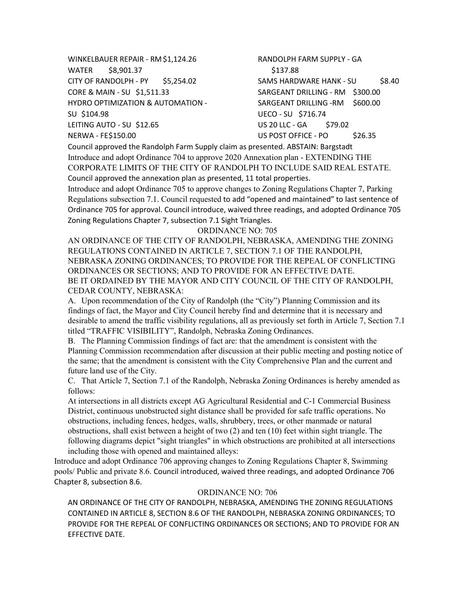WINKELBAUER REPAIR - RM\$1,124.26 WATER \$8,901.37 CITY OF RANDOLPH - PY \$5,254.02 CORE & MAIN - SU \$1,511.33 HYDRO OPTIMIZATION & AUTOMATION - SU \$104.98 LEITING AUTO - SU \$12.65 NERWA - FE\$150.00 RANDOLPH FARM SUPPLY - GA \$137.88 SAMS HARDWARE HANK - SU \$8.40 SARGEANT DRILLING - RM \$300.00 SARGEANT DRILLING -RM \$600.00 UECO - SU \$716.74 US 20 LLC - GA \$79.02 US POST OFFICE - PO \$26.35

Council approved the Randolph Farm Supply claim as presented. ABSTAIN: Bargstadt Introduce and adopt Ordinance 704 to approve 2020 Annexation plan - EXTENDING THE CORPORATE LIMITS OF THE CITY OF RANDOLPH TO INCLUDE SAID REAL ESTATE. Council approved the annexation plan as presented, 11 total properties.

Introduce and adopt Ordinance 705 to approve changes to Zoning Regulations Chapter 7, Parking Regulations subsection 7.1. Council requested to add "opened and maintained" to last sentence of Ordinance 705 for approval. Council introduce, waived three readings, and adopted Ordinance 705 Zoning Regulations Chapter 7, subsection 7.1 Sight Triangles.

#### ORDINANCE NO: 705

AN ORDINANCE OF THE CITY OF RANDOLPH, NEBRASKA, AMENDING THE ZONING REGULATIONS CONTAINED IN ARTICLE 7, SECTION 7.1 OF THE RANDOLPH, NEBRASKA ZONING ORDINANCES; TO PROVIDE FOR THE REPEAL OF CONFLICTING ORDINANCES OR SECTIONS; AND TO PROVIDE FOR AN EFFECTIVE DATE. BE IT ORDAINED BY THE MAYOR AND CITY COUNCIL OF THE CITY OF RANDOLPH, CEDAR COUNTY, NEBRASKA:

A. Upon recommendation of the City of Randolph (the "City") Planning Commission and its findings of fact, the Mayor and City Council hereby find and determine that it is necessary and desirable to amend the traffic visibility regulations, all as previously set forth in Article 7, Section 7.1 titled "TRAFFIC VISIBILITY", Randolph, Nebraska Zoning Ordinances.

B. The Planning Commission findings of fact are: that the amendment is consistent with the Planning Commission recommendation after discussion at their public meeting and posting notice of the same; that the amendment is consistent with the City Comprehensive Plan and the current and future land use of the City.

C. That Article 7, Section 7.1 of the Randolph, Nebraska Zoning Ordinances is hereby amended as follows:

At intersections in all districts except AG Agricultural Residential and C-1 Commercial Business District, continuous unobstructed sight distance shall be provided for safe traffic operations. No obstructions, including fences, hedges, walls, shrubbery, trees, or other manmade or natural obstructions, shall exist between a height of two (2) and ten (10) feet within sight triangle. The following diagrams depict "sight triangles" in which obstructions are prohibited at all intersections including those with opened and maintained alleys:

Introduce and adopt Ordinance 706 approving changes to Zoning Regulations Chapter 8, Swimming pools/ Public and private 8.6. Council introduced, waived three readings, and adopted Ordinance 706 Chapter 8, subsection 8.6.

#### ORDINANCE NO: 706

AN ORDINANCE OF THE CITY OF RANDOLPH, NEBRASKA, AMENDING THE ZONING REGULATIONS CONTAINED IN ARTICLE 8, SECTION 8.6 OF THE RANDOLPH, NEBRASKA ZONING ORDINANCES; TO PROVIDE FOR THE REPEAL OF CONFLICTING ORDINANCES OR SECTIONS; AND TO PROVIDE FOR AN EFFECTIVE DATE.